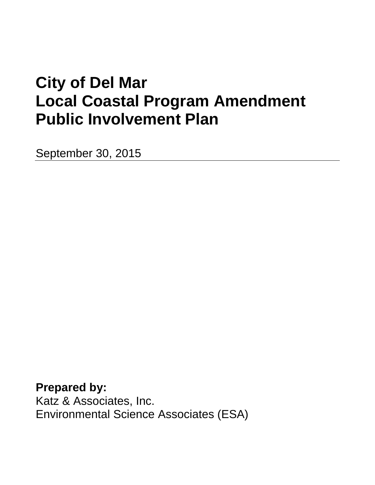## **City of Del Mar Local Coastal Program Amendment Public Involvement Plan**

September 30, 2015

**Prepared by:** Katz & Associates, Inc. Environmental Science Associates (ESA)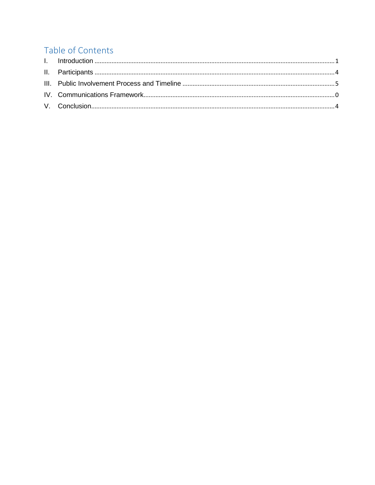## Table of Contents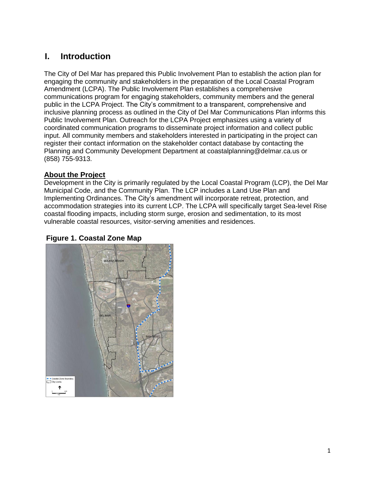## <span id="page-2-0"></span>**I. Introduction**

The City of Del Mar has prepared this Public Involvement Plan to establish the action plan for engaging the community and stakeholders in the preparation of the Local Coastal Program Amendment (LCPA). The Public Involvement Plan establishes a comprehensive communications program for engaging stakeholders, community members and the general public in the LCPA Project. The City's commitment to a transparent, comprehensive and inclusive planning process as outlined in the City of Del Mar Communications Plan informs this Public Involvement Plan. Outreach for the LCPA Project emphasizes using a variety of coordinated communication programs to disseminate project information and collect public input. All community members and stakeholders interested in participating in the project can register their contact information on the stakeholder contact database by contacting the Planning and Community Development Department at coastalplanning@delmar.ca.us or (858) 755-9313.

#### **About the Project**

Development in the City is primarily regulated by the Local Coastal Program (LCP), the Del Mar Municipal Code, and the Community Plan. The LCP includes a Land Use Plan and Implementing Ordinances. The City's amendment will incorporate retreat, protection, and accommodation strategies into its current LCP. The LCPA will specifically target Sea-level Rise coastal flooding impacts, including storm surge, erosion and sedimentation, to its most vulnerable coastal resources, visitor-serving amenities and residences.

### **Figure 1. Coastal Zone Map**

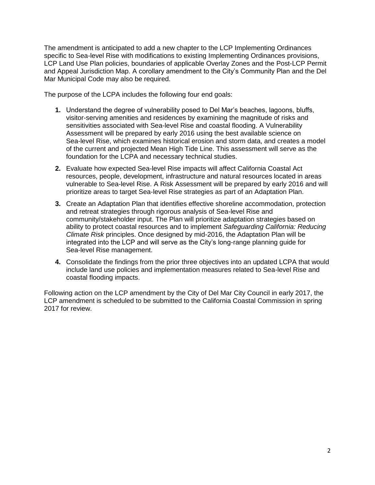The amendment is anticipated to add a new chapter to the LCP Implementing Ordinances specific to Sea-level Rise with modifications to existing Implementing Ordinances provisions, LCP Land Use Plan policies, boundaries of applicable Overlay Zones and the Post-LCP Permit and Appeal Jurisdiction Map. A corollary amendment to the City's Community Plan and the Del Mar Municipal Code may also be required.

The purpose of the LCPA includes the following four end goals:

- **1.** Understand the degree of vulnerability posed to Del Mar's beaches, lagoons, bluffs, visitor-serving amenities and residences by examining the magnitude of risks and sensitivities associated with Sea-level Rise and coastal flooding. A Vulnerability Assessment will be prepared by early 2016 using the best available science on Sea-level Rise, which examines historical erosion and storm data, and creates a model of the current and projected Mean High Tide Line. This assessment will serve as the foundation for the LCPA and necessary technical studies.
- **2.** Evaluate how expected Sea-level Rise impacts will affect California Coastal Act resources, people, development, infrastructure and natural resources located in areas vulnerable to Sea-level Rise. A Risk Assessment will be prepared by early 2016 and will prioritize areas to target Sea-level Rise strategies as part of an Adaptation Plan.
- **3.** Create an Adaptation Plan that identifies effective shoreline accommodation, protection and retreat strategies through rigorous analysis of Sea-level Rise and community/stakeholder input. The Plan will prioritize adaptation strategies based on ability to protect coastal resources and to implement *Safeguarding California: Reducing Climate Risk* principles. Once designed by mid-2016, the Adaptation Plan will be integrated into the LCP and will serve as the City's long-range planning guide for Sea-level Rise management.
- **4.** Consolidate the findings from the prior three objectives into an updated LCPA that would include land use policies and implementation measures related to Sea-level Rise and coastal flooding impacts.

Following action on the LCP amendment by the City of Del Mar City Council in early 2017, the LCP amendment is scheduled to be submitted to the California Coastal Commission in spring 2017 for review.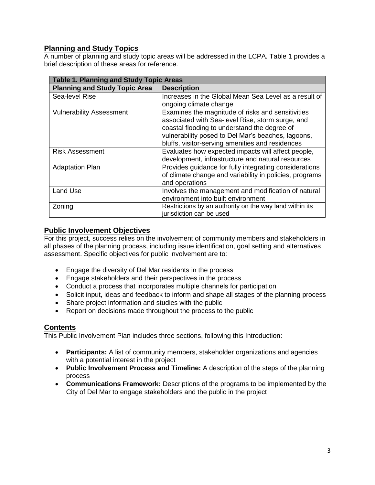#### **Planning and Study Topics**

A number of planning and study topic areas will be addressed in the LCPA. Table 1 provides a brief description of these areas for reference.

| <b>Table 1. Planning and Study Topic Areas</b> |                                                         |  |  |  |  |
|------------------------------------------------|---------------------------------------------------------|--|--|--|--|
| <b>Planning and Study Topic Area</b>           | <b>Description</b>                                      |  |  |  |  |
| Sea-level Rise                                 | Increases in the Global Mean Sea Level as a result of   |  |  |  |  |
|                                                | ongoing climate change                                  |  |  |  |  |
| <b>Vulnerability Assessment</b>                | Examines the magnitude of risks and sensitivities       |  |  |  |  |
|                                                | associated with Sea-level Rise, storm surge, and        |  |  |  |  |
|                                                | coastal flooding to understand the degree of            |  |  |  |  |
|                                                | vulnerability posed to Del Mar's beaches, lagoons,      |  |  |  |  |
|                                                | bluffs, visitor-serving amenities and residences        |  |  |  |  |
| Risk Assessment                                | Evaluates how expected impacts will affect people,      |  |  |  |  |
|                                                | development, infrastructure and natural resources       |  |  |  |  |
| <b>Adaptation Plan</b>                         | Provides guidance for fully integrating considerations  |  |  |  |  |
|                                                | of climate change and variability in policies, programs |  |  |  |  |
|                                                | and operations                                          |  |  |  |  |
| <b>Land Use</b>                                | Involves the management and modification of natural     |  |  |  |  |
|                                                | environment into built environment                      |  |  |  |  |
| Zoning                                         | Restrictions by an authority on the way land within its |  |  |  |  |
|                                                | jurisdiction can be used                                |  |  |  |  |

#### **Public Involvement Objectives**

For this project, success relies on the involvement of community members and stakeholders in all phases of the planning process, including issue identification, goal setting and alternatives assessment. Specific objectives for public involvement are to:

- Engage the diversity of Del Mar residents in the process
- Engage stakeholders and their perspectives in the process
- Conduct a process that incorporates multiple channels for participation
- Solicit input, ideas and feedback to inform and shape all stages of the planning process
- Share project information and studies with the public
- Report on decisions made throughout the process to the public

#### **Contents**

This Public Involvement Plan includes three sections, following this Introduction:

- **Participants:** A list of community members, stakeholder organizations and agencies with a potential interest in the project
- **Public Involvement Process and Timeline:** A description of the steps of the planning process
- **Communications Framework:** Descriptions of the programs to be implemented by the City of Del Mar to engage stakeholders and the public in the project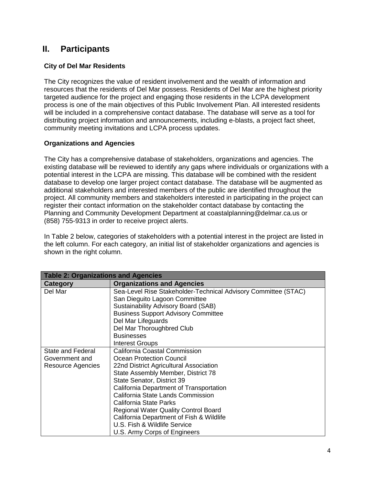### <span id="page-5-0"></span>**II. Participants**

#### **City of Del Mar Residents**

The City recognizes the value of resident involvement and the wealth of information and resources that the residents of Del Mar possess. Residents of Del Mar are the highest priority targeted audience for the project and engaging those residents in the LCPA development process is one of the main objectives of this Public Involvement Plan. All interested residents will be included in a comprehensive contact database. The database will serve as a tool for distributing project information and announcements, including e-blasts, a project fact sheet, community meeting invitations and LCPA process updates.

#### **Organizations and Agencies**

The City has a comprehensive database of stakeholders, organizations and agencies. The existing database will be reviewed to identify any gaps where individuals or organizations with a potential interest in the LCPA are missing. This database will be combined with the resident database to develop one larger project contact database. The database will be augmented as additional stakeholders and interested members of the public are identified throughout the project. All community members and stakeholders interested in participating in the project can register their contact information on the stakeholder contact database by contacting the Planning and Community Development Department at coastalplanning@delmar.ca.us or (858) 755-9313 in order to receive project alerts.

In Table 2 below, categories of stakeholders with a potential interest in the project are listed in the left column. For each category, an initial list of stakeholder organizations and agencies is shown in the right column.

| <b>Table 2: Organizations and Agencies</b> |                                                                |  |  |  |  |
|--------------------------------------------|----------------------------------------------------------------|--|--|--|--|
| Category                                   | <b>Organizations and Agencies</b>                              |  |  |  |  |
| Del Mar                                    | Sea-Level Rise Stakeholder-Technical Advisory Committee (STAC) |  |  |  |  |
|                                            | San Dieguito Lagoon Committee                                  |  |  |  |  |
|                                            | Sustainability Advisory Board (SAB)                            |  |  |  |  |
|                                            | <b>Business Support Advisory Committee</b>                     |  |  |  |  |
|                                            | Del Mar Lifeguards                                             |  |  |  |  |
|                                            | Del Mar Thoroughbred Club                                      |  |  |  |  |
|                                            | <b>Businesses</b>                                              |  |  |  |  |
|                                            | <b>Interest Groups</b>                                         |  |  |  |  |
| State and Federal                          | California Coastal Commission                                  |  |  |  |  |
| Government and                             | Ocean Protection Council                                       |  |  |  |  |
| Resource Agencies                          | 22nd District Agricultural Association                         |  |  |  |  |
|                                            | State Assembly Member, District 78                             |  |  |  |  |
|                                            | State Senator, District 39                                     |  |  |  |  |
|                                            | California Department of Transportation                        |  |  |  |  |
|                                            | California State Lands Commission                              |  |  |  |  |
|                                            | California State Parks                                         |  |  |  |  |
|                                            | <b>Regional Water Quality Control Board</b>                    |  |  |  |  |
|                                            | California Department of Fish & Wildlife                       |  |  |  |  |
|                                            | U.S. Fish & Wildlife Service                                   |  |  |  |  |
|                                            | U.S. Army Corps of Engineers                                   |  |  |  |  |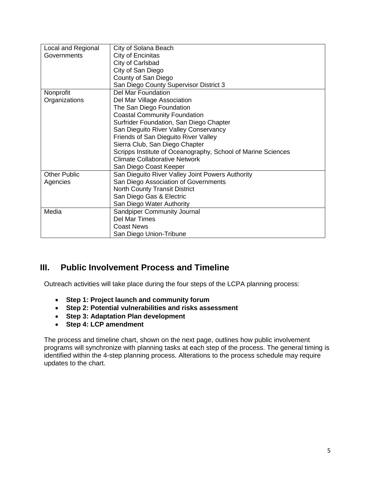| Local and Regional  | City of Solana Beach                                         |
|---------------------|--------------------------------------------------------------|
| Governments         | City of Encinitas                                            |
|                     | City of Carlsbad                                             |
|                     | City of San Diego                                            |
|                     | County of San Diego                                          |
|                     | San Diego County Supervisor District 3                       |
| Nonprofit           | <b>Del Mar Foundation</b>                                    |
| Organizations       | Del Mar Village Association                                  |
|                     | The San Diego Foundation                                     |
|                     | <b>Coastal Community Foundation</b>                          |
|                     | Surfrider Foundation, San Diego Chapter                      |
|                     | San Dieguito River Valley Conservancy                        |
|                     | Friends of San Dieguito River Valley                         |
|                     | Sierra Club, San Diego Chapter                               |
|                     | Scripps Institute of Oceanography, School of Marine Sciences |
|                     | Climate Collaborative Network                                |
|                     | San Diego Coast Keeper                                       |
| <b>Other Public</b> | San Dieguito River Valley Joint Powers Authority             |
| Agencies            | San Diego Association of Governments                         |
|                     | <b>North County Transit District</b>                         |
|                     | San Diego Gas & Electric                                     |
|                     | San Diego Water Authority                                    |
| Media               | <b>Sandpiper Community Journal</b>                           |
|                     | Del Mar Times                                                |
|                     | <b>Coast News</b>                                            |
|                     | San Diego Union-Tribune                                      |

## <span id="page-6-0"></span>**III. Public Involvement Process and Timeline**

Outreach activities will take place during the four steps of the LCPA planning process:

- **Step 1: Project launch and community forum**
- **Step 2: Potential vulnerabilities and risks assessment**
- **Step 3: Adaptation Plan development**
- **Step 4: LCP amendment**

The process and timeline chart, shown on the next page, outlines how public involvement programs will synchronize with planning tasks at each step of the process. The general timing is identified within the 4-step planning process. Alterations to the process schedule may require updates to the chart.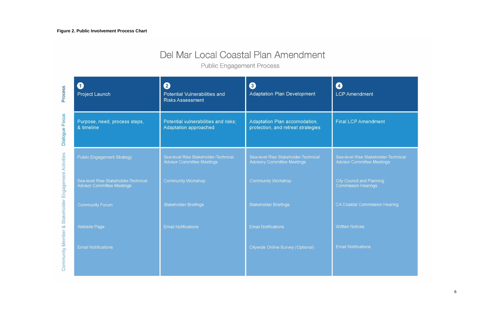# Del Mar Local Coastal Plan Amendment

**Public Engagement Process** 

| $\vert$ 1<br><b>Project Launch</b>                                        | $\overline{\mathbf{2}}$<br><b>Potential Vulnerabilities and</b><br><b>Risks Assessment</b> | 3<br><b>Adaptation Plan Development</b>                                    | $\overline{4}$<br><b>LCP Ame</b> |
|---------------------------------------------------------------------------|--------------------------------------------------------------------------------------------|----------------------------------------------------------------------------|----------------------------------|
| Purpose, need, process steps,<br>& timeline                               | Potential vulnerabilities and risks;<br><b>Adaptation approached</b>                       | Adaptation Plan accomodation,<br>protection, and retreat strategies        | <b>Final LCP</b>                 |
| <b>Public Engagement Strategy</b>                                         | Sea-level Rise Stakeholder-Technical<br><b>Advisor Committee Meetings</b>                  | Sea-level Rise Stakeholder-Technical<br><b>Advisory Committee Meetings</b> | Sea-level F<br><b>Advisor Co</b> |
| Sea-level Rise Stakeholder-Technical<br><b>Advisor Committee Meetings</b> | <b>Community Workshop</b>                                                                  | <b>Community Workshop</b>                                                  | <b>City Counc</b><br>Commissio   |
| <b>Community Forum</b>                                                    | <b>Stakeholder Briefings</b>                                                               | <b>Stakeholder Briefings</b>                                               | <b>CA Coasta</b>                 |
| <b>Website Page</b>                                                       | <b>Email Notifications</b>                                                                 | <b>Email Notifications</b>                                                 | <b>Written Not</b>               |
| <b>Email Notifications</b>                                                |                                                                                            | Citywide Online Survey (Optional)                                          | <b>Email Notifi</b>              |
|                                                                           |                                                                                            |                                                                            |                                  |

#### ndment

#### Amendment

≀ise Stakeholder-Technical<br>mmittee Meetings

and Planning **Hearings** 

Commission Hearing

ces

cations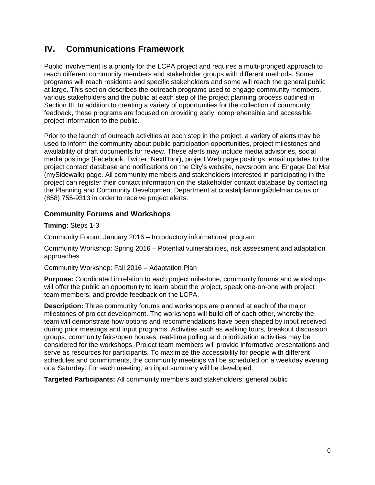## <span id="page-8-0"></span>**IV. Communications Framework**

Public involvement is a priority for the LCPA project and requires a multi-pronged approach to reach different community members and stakeholder groups with different methods. Some programs will reach residents and specific stakeholders and some will reach the general public at large. This section describes the outreach programs used to engage community members, various stakeholders and the public at each step of the project planning process outlined in Section III. In addition to creating a variety of opportunities for the collection of community feedback, these programs are focused on providing early, comprehensible and accessible project information to the public.

Prior to the launch of outreach activities at each step in the project, a variety of alerts may be used to inform the community about public participation opportunities, project milestones and availability of draft documents for review. These alerts may include media advisories, social media postings (Facebook, Twitter, NextDoor), project Web page postings, email updates to the project contact database and notifications on the City's website, newsroom and Engage Del Mar (mySidewalk) page. All community members and stakeholders interested in participating in the project can register their contact information on the stakeholder contact database by contacting the Planning and Community Development Department at coastalplanning@delmar.ca.us or (858) 755-9313 in order to receive project alerts.

#### **Community Forums and Workshops**

**Timing:** Steps 1-3

Community Forum: January 2016 – Introductory informational program

Community Workshop: Spring 2016 – Potential vulnerabilities, risk assessment and adaptation approaches

Community Workshop: Fall 2016 – Adaptation Plan

**Purpose:** Coordinated in relation to each project milestone, community forums and workshops will offer the public an opportunity to learn about the project, speak one-on-one with project team members, and provide feedback on the LCPA.

**Description:** Three community forums and workshops are planned at each of the major milestones of project development. The workshops will build off of each other, whereby the team will demonstrate how options and recommendations have been shaped by input received during prior meetings and input programs. Activities such as walking tours, breakout discussion groups, community fairs/open houses, real-time polling and prioritization activities may be considered for the workshops. Project team members will provide informative presentations and serve as resources for participants. To maximize the accessibility for people with different schedules and commitments, the community meetings will be scheduled on a weekday evening or a Saturday. For each meeting, an input summary will be developed.

**Targeted Participants:** All community members and stakeholders; general public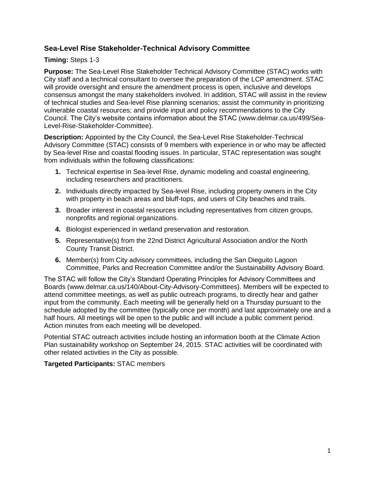#### **Sea-Level Rise Stakeholder-Technical Advisory Committee**

#### **Timing:** Steps 1-3

**Purpose:** The Sea-Level Rise Stakeholder Technical Advisory Committee (STAC) works with City staff and a technical consultant to oversee the preparation of the LCP amendment. STAC will provide oversight and ensure the amendment process is open, inclusive and develops consensus amongst the many stakeholders involved. In addition, STAC will assist in the review of technical studies and Sea-level Rise planning scenarios; assist the community in prioritizing vulnerable coastal resources; and provide input and policy recommendations to the City Council. The City's website contains information about the STAC [\(www.delmar.ca.us/499/Sea-](http://www.delmar.ca.us/499/Sea-Level-Rise-Stakeholder-Committee)[Level-Rise-Stakeholder-Committee\)](http://www.delmar.ca.us/499/Sea-Level-Rise-Stakeholder-Committee).

**Description:** Appointed by the City Council, the Sea-Level Rise Stakeholder-Technical Advisory Committee (STAC) consists of 9 members with experience in or who may be affected by Sea-level Rise and coastal flooding issues. In particular, STAC representation was sought from individuals within the following classifications:

- **1.** Technical expertise in Sea-level Rise, dynamic modeling and coastal engineering, including researchers and practitioners.
- **2.** Individuals directly impacted by Sea-level Rise, including property owners in the City with property in beach areas and bluff-tops, and users of City beaches and trails.
- **3.** Broader interest in coastal resources including representatives from citizen groups, nonprofits and regional organizations.
- **4.** Biologist experienced in wetland preservation and restoration.
- **5.** Representative(s) from the 22nd District Agricultural Association and/or the North County Transit District.
- **6.** Member(s) from City advisory committees, including the San Dieguito Lagoon Committee, Parks and Recreation Committee and/or the Sustainability Advisory Board.

The STAC will follow the City's Standard Operating Principles for Advisory Committees and Boards (www.delmar.ca.us/140/About-City-Advisory-Committees). Members will be expected to attend committee meetings, as well as public outreach programs, to directly hear and gather input from the community. Each meeting will be generally held on a Thursday pursuant to the schedule adopted by the committee (typically once per month) and last approximately one and a half hours. All meetings will be open to the public and will include a public comment period. Action minutes from each meeting will be developed.

Potential STAC outreach activities include hosting an information booth at the Climate Action Plan sustainability workshop on September 24, 2015. STAC activities will be coordinated with other related activities in the City as possible.

**Targeted Participants:** STAC members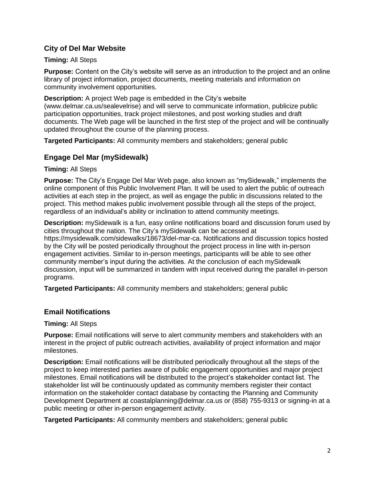#### **City of Del Mar Website**

#### **Timing:** All Steps

**Purpose:** Content on the City's website will serve as an introduction to the project and an online library of project information, project documents, meeting materials and information on community involvement opportunities.

**Description:** A project Web page is embedded in the City's website (www.delmar.ca.us/sealevelrise) and will serve to communicate information, publicize public participation opportunities, track project milestones, and post working studies and draft documents. The Web page will be launched in the first step of the project and will be continually updated throughout the course of the planning process.

**Targeted Participants:** All community members and stakeholders; general public

#### **Engage Del Mar (mySidewalk)**

#### **Timing:** All Steps

**Purpose:** The City's Engage Del Mar Web page, also known as "mySidewalk," implements the online component of this Public Involvement Plan. It will be used to alert the public of outreach activities at each step in the project, as well as engage the public in discussions related to the project. This method makes public involvement possible through all the steps of the project, regardless of an individual's ability or inclination to attend community meetings.

**Description:** mySidewalk is a fun, easy online notifications board and discussion forum used by cities throughout the nation. The City's mySidewalk can be accessed at https://mysidewalk.com/sidewalks/18673/del-mar-ca. Notifications and discussion topics hosted by the City will be posted periodically throughout the project process in line with in-person engagement activities. Similar to in-person meetings, participants will be able to see other community member's input during the activities. At the conclusion of each mySidewalk discussion, input will be summarized in tandem with input received during the parallel in-person programs.

**Targeted Participants:** All community members and stakeholders; general public

#### **Email Notifications**

#### **Timing:** All Steps

**Purpose:** Email notifications will serve to alert community members and stakeholders with an interest in the project of public outreach activities, availability of project information and major milestones.

**Description:** Email notifications will be distributed periodically throughout all the steps of the project to keep interested parties aware of public engagement opportunities and major project milestones. Email notifications will be distributed to the project's stakeholder contact list. The stakeholder list will be continuously updated as community members register their contact information on the stakeholder contact database by contacting the Planning and Community Development Department at coastalplanning@delmar.ca.us or (858) 755-9313 or signing-in at a public meeting or other in-person engagement activity.

**Targeted Participants:** All community members and stakeholders; general public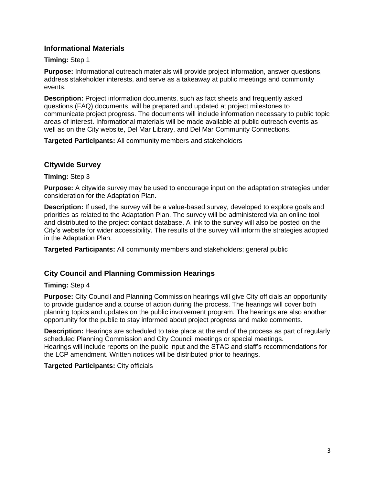#### **Informational Materials**

#### **Timing:** Step 1

**Purpose:** Informational outreach materials will provide project information, answer questions, address stakeholder interests, and serve as a takeaway at public meetings and community events.

**Description:** Project information documents, such as fact sheets and frequently asked questions (FAQ) documents, will be prepared and updated at project milestones to communicate project progress. The documents will include information necessary to public topic areas of interest. Informational materials will be made available at public outreach events as well as on the City website, Del Mar Library, and Del Mar Community Connections.

**Targeted Participants:** All community members and stakeholders

#### **Citywide Survey**

**Timing:** Step 3

**Purpose:** A citywide survey may be used to encourage input on the adaptation strategies under consideration for the Adaptation Plan.

**Description:** If used, the survey will be a value-based survey, developed to explore goals and priorities as related to the Adaptation Plan. The survey will be administered via an online tool and distributed to the project contact database. A link to the survey will also be posted on the City's website for wider accessibility. The results of the survey will inform the strategies adopted in the Adaptation Plan.

**Targeted Participants:** All community members and stakeholders; general public

#### **City Council and Planning Commission Hearings**

#### **Timing:** Step 4

**Purpose:** City Council and Planning Commission hearings will give City officials an opportunity to provide guidance and a course of action during the process. The hearings will cover both planning topics and updates on the public involvement program. The hearings are also another opportunity for the public to stay informed about project progress and make comments.

**Description:** Hearings are scheduled to take place at the end of the process as part of regularly scheduled Planning Commission and City Council meetings or special meetings. Hearings will include reports on the public input and the STAC and staff's recommendations for the LCP amendment. Written notices will be distributed prior to hearings.

**Targeted Participants:** City officials